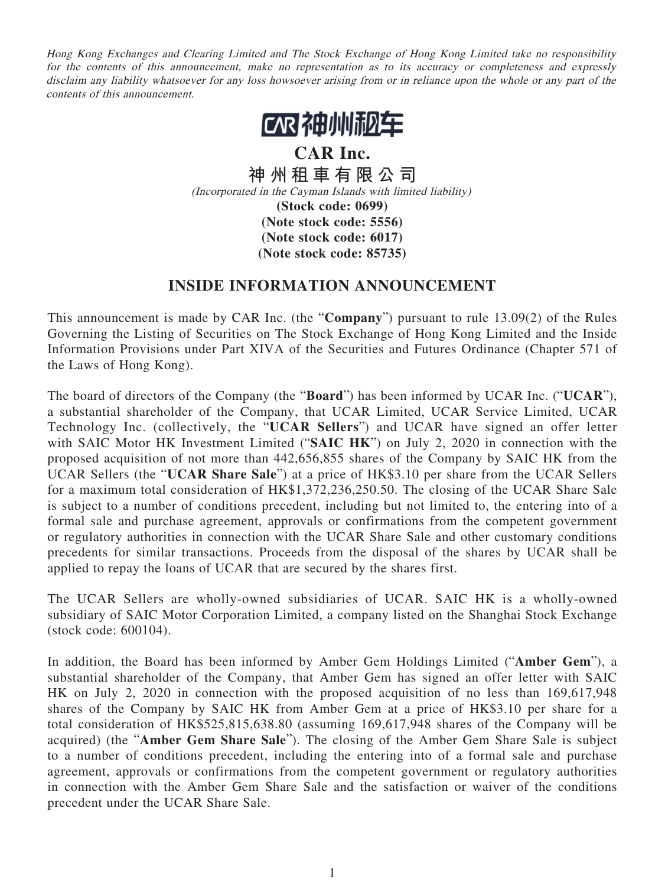Hong Kong Exchanges and Clearing Limited and The Stock Exchange of Hong Kong Limited take no responsibility for the contents of this announcement, make no representation as to its accuracy or completeness and expressly disclaim any liability whatsoever for any loss howsoever arising from or in reliance upon the whole or any part of the contents of this announcement.



**CAR Inc. 神州租車有限公司** (Incorporated in the Cayman Islands with limited liability) **(Stock code: 0699) (Note stock code: 5556) (Note stock code: 6017) (Note stock code: 85735)**

## **INSIDE INFORMATION ANNOUNCEMENT**

This announcement is made by CAR Inc. (the "**Company**") pursuant to rule 13.09(2) of the Rules Governing the Listing of Securities on The Stock Exchange of Hong Kong Limited and the Inside Information Provisions under Part XIVA of the Securities and Futures Ordinance (Chapter 571 of the Laws of Hong Kong).

The board of directors of the Company (the "**Board**") has been informed by UCAR Inc. ("**UCAR**"), a substantial shareholder of the Company, that UCAR Limited, UCAR Service Limited, UCAR Technology Inc. (collectively, the "**UCAR Sellers**") and UCAR have signed an offer letter with SAIC Motor HK Investment Limited ("**SAIC HK**") on July 2, 2020 in connection with the proposed acquisition of not more than 442,656,855 shares of the Company by SAIC HK from the UCAR Sellers (the "**UCAR Share Sale**") at a price of HK\$3.10 per share from the UCAR Sellers for a maximum total consideration of HK\$1,372,236,250.50. The closing of the UCAR Share Sale is subject to a number of conditions precedent, including but not limited to, the entering into of a formal sale and purchase agreement, approvals or confirmations from the competent government or regulatory authorities in connection with the UCAR Share Sale and other customary conditions precedents for similar transactions. Proceeds from the disposal of the shares by UCAR shall be applied to repay the loans of UCAR that are secured by the shares first.

The UCAR Sellers are wholly-owned subsidiaries of UCAR. SAIC HK is a wholly-owned subsidiary of SAIC Motor Corporation Limited, a company listed on the Shanghai Stock Exchange (stock code: 600104).

In addition, the Board has been informed by Amber Gem Holdings Limited ("**Amber Gem**"), a substantial shareholder of the Company, that Amber Gem has signed an offer letter with SAIC HK on July 2, 2020 in connection with the proposed acquisition of no less than 169,617,948 shares of the Company by SAIC HK from Amber Gem at a price of HK\$3.10 per share for a total consideration of HK\$525,815,638.80 (assuming 169,617,948 shares of the Company will be acquired) (the "**Amber Gem Share Sale**"). The closing of the Amber Gem Share Sale is subject to a number of conditions precedent, including the entering into of a formal sale and purchase agreement, approvals or confirmations from the competent government or regulatory authorities in connection with the Amber Gem Share Sale and the satisfaction or waiver of the conditions precedent under the UCAR Share Sale.